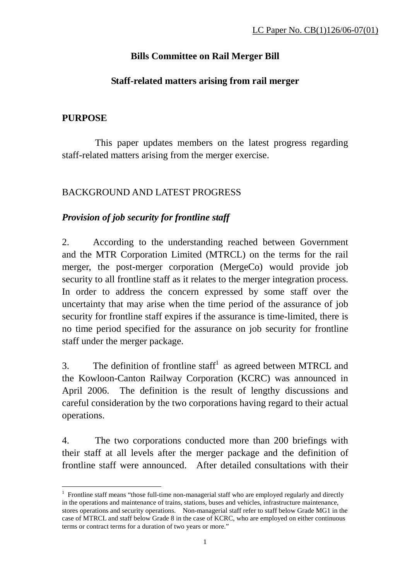# **Bills Committee on Rail Merger Bill**

## **Staff-related matters arising from rail merger**

## **PURPOSE**

 $\overline{a}$ 

 This paper updates members on the latest progress regarding staff-related matters arising from the merger exercise.

## BACKGROUND AND LATEST PROGRESS

# *Provision of job security for frontline staff*

2. According to the understanding reached between Government and the MTR Corporation Limited (MTRCL) on the terms for the rail merger, the post-merger corporation (MergeCo) would provide job security to all frontline staff as it relates to the merger integration process. In order to address the concern expressed by some staff over the uncertainty that may arise when the time period of the assurance of job security for frontline staff expires if the assurance is time-limited, there is no time period specified for the assurance on job security for frontline staff under the merger package.

3. The definition of frontline staff<sup>1</sup> as agreed between MTRCL and the Kowloon-Canton Railway Corporation (KCRC) was announced in April 2006. The definition is the result of lengthy discussions and careful consideration by the two corporations having regard to their actual operations.

4. The two corporations conducted more than 200 briefings with their staff at all levels after the merger package and the definition of frontline staff were announced. After detailed consultations with their

<sup>&</sup>lt;sup>1</sup> Frontline staff means "those full-time non-managerial staff who are employed regularly and directly in the operations and maintenance of trains, stations, buses and vehicles, infrastructure maintenance, stores operations and security operations. Non-managerial staff refer to staff below Grade MG1 in the case of MTRCL and staff below Grade 8 in the case of KCRC, who are employed on either continuous terms or contract terms for a duration of two years or more."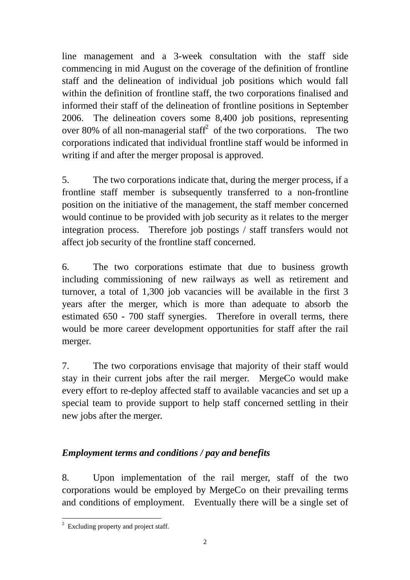line management and a 3-week consultation with the staff side commencing in mid August on the coverage of the definition of frontline staff and the delineation of individual job positions which would fall within the definition of frontline staff, the two corporations finalised and informed their staff of the delineation of frontline positions in September 2006. The delineation covers some 8,400 job positions, representing over 80% of all non-managerial staff<sup>2</sup> of the two corporations. The two corporations indicated that individual frontline staff would be informed in writing if and after the merger proposal is approved.

5. The two corporations indicate that, during the merger process, if a frontline staff member is subsequently transferred to a non-frontline position on the initiative of the management, the staff member concerned would continue to be provided with job security as it relates to the merger integration process. Therefore job postings / staff transfers would not affect job security of the frontline staff concerned.

6. The two corporations estimate that due to business growth including commissioning of new railways as well as retirement and turnover, a total of 1,300 job vacancies will be available in the first 3 years after the merger, which is more than adequate to absorb the estimated 650 - 700 staff synergies. Therefore in overall terms, there would be more career development opportunities for staff after the rail merger.

7. The two corporations envisage that majority of their staff would stay in their current jobs after the rail merger. MergeCo would make every effort to re-deploy affected staff to available vacancies and set up a special team to provide support to help staff concerned settling in their new jobs after the merger.

# *Employment terms and conditions / pay and benefits*

8. Upon implementation of the rail merger, staff of the two corporations would be employed by MergeCo on their prevailing terms and conditions of employment. Eventually there will be a single set of

<sup>&</sup>lt;sup>2</sup> Excluding property and project staff.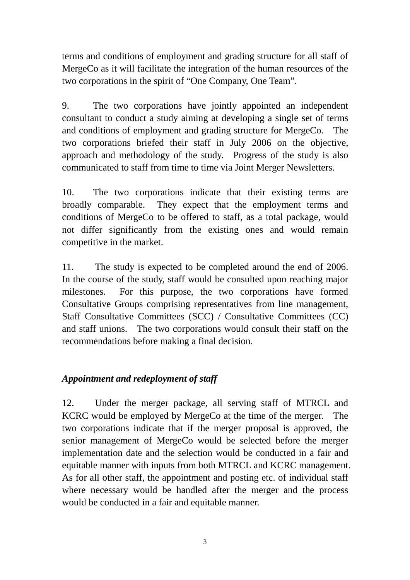terms and conditions of employment and grading structure for all staff of MergeCo as it will facilitate the integration of the human resources of the two corporations in the spirit of "One Company, One Team".

9. The two corporations have jointly appointed an independent consultant to conduct a study aiming at developing a single set of terms and conditions of employment and grading structure for MergeCo. The two corporations briefed their staff in July 2006 on the objective, approach and methodology of the study. Progress of the study is also communicated to staff from time to time via Joint Merger Newsletters.

10. The two corporations indicate that their existing terms are broadly comparable. They expect that the employment terms and conditions of MergeCo to be offered to staff, as a total package, would not differ significantly from the existing ones and would remain competitive in the market.

11. The study is expected to be completed around the end of 2006. In the course of the study, staff would be consulted upon reaching major milestones. For this purpose, the two corporations have formed Consultative Groups comprising representatives from line management, Staff Consultative Committees (SCC) / Consultative Committees (CC) and staff unions. The two corporations would consult their staff on the recommendations before making a final decision.

### *Appointment and redeployment of staff*

12. Under the merger package, all serving staff of MTRCL and KCRC would be employed by MergeCo at the time of the merger. The two corporations indicate that if the merger proposal is approved, the senior management of MergeCo would be selected before the merger implementation date and the selection would be conducted in a fair and equitable manner with inputs from both MTRCL and KCRC management. As for all other staff, the appointment and posting etc. of individual staff where necessary would be handled after the merger and the process would be conducted in a fair and equitable manner.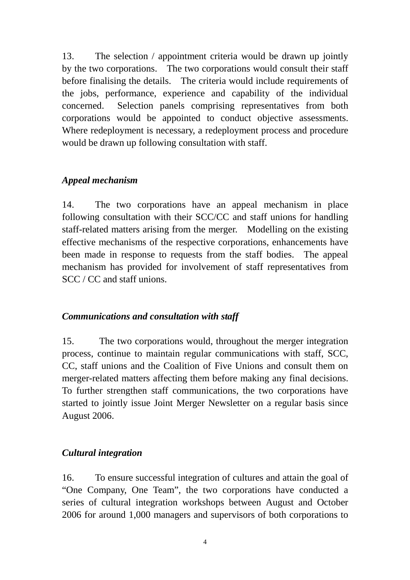13. The selection / appointment criteria would be drawn up jointly by the two corporations. The two corporations would consult their staff before finalising the details. The criteria would include requirements of the jobs, performance, experience and capability of the individual concerned. Selection panels comprising representatives from both corporations would be appointed to conduct objective assessments. Where redeployment is necessary, a redeployment process and procedure would be drawn up following consultation with staff.

#### *Appeal mechanism*

14. The two corporations have an appeal mechanism in place following consultation with their SCC/CC and staff unions for handling staff-related matters arising from the merger. Modelling on the existing effective mechanisms of the respective corporations, enhancements have been made in response to requests from the staff bodies. The appeal mechanism has provided for involvement of staff representatives from SCC / CC and staff unions.

### *Communications and consultation with staff*

15. The two corporations would, throughout the merger integration process, continue to maintain regular communications with staff, SCC, CC, staff unions and the Coalition of Five Unions and consult them on merger-related matters affecting them before making any final decisions. To further strengthen staff communications, the two corporations have started to jointly issue Joint Merger Newsletter on a regular basis since August 2006.

### *Cultural integration*

16. To ensure successful integration of cultures and attain the goal of "One Company, One Team", the two corporations have conducted a series of cultural integration workshops between August and October 2006 for around 1,000 managers and supervisors of both corporations to